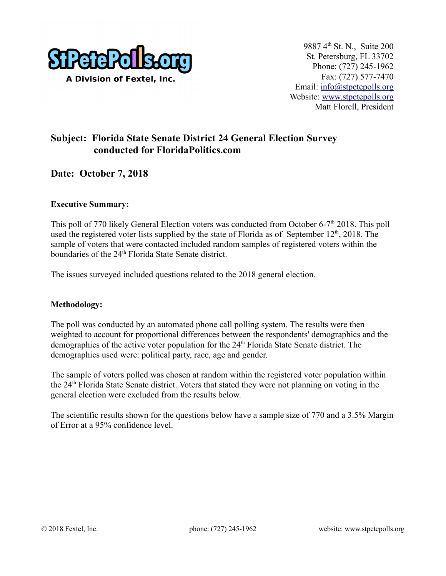

# **Subject: Florida State Senate District 24 General Election Survey conducted for FloridaPolitics.com**

## **Date: October 7, 2018**

#### **Executive Summary:**

This poll of 770 likely General Election voters was conducted from October 6-7<sup>th</sup> 2018. This poll used the registered voter lists supplied by the state of Florida as of September  $12<sup>th</sup>$ , 2018. The sample of voters that were contacted included random samples of registered voters within the boundaries of the 24<sup>th</sup> Florida State Senate district.

The issues surveyed included questions related to the 2018 general election.

#### **Methodology:**

The poll was conducted by an automated phone call polling system. The results were then weighted to account for proportional differences between the respondents' demographics and the demographics of the active voter population for the 24<sup>th</sup> Florida State Senate district. The demographics used were: political party, race, age and gender.

The sample of voters polled was chosen at random within the registered voter population within the 24th Florida State Senate district. Voters that stated they were not planning on voting in the general election were excluded from the results below.

The scientific results shown for the questions below have a sample size of 770 and a 3.5% Margin of Error at a 95% confidence level.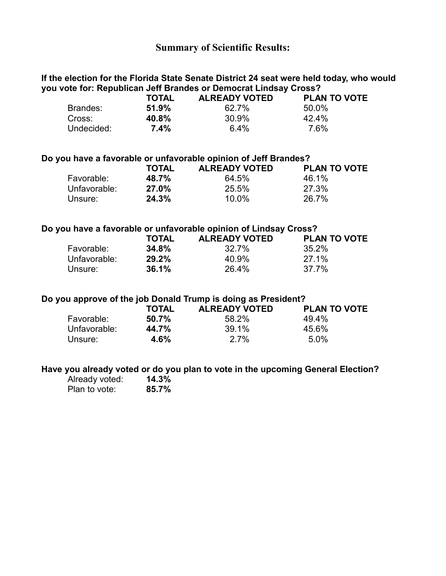## **Summary of Scientific Results:**

### **If the election for the Florida State Senate District 24 seat were held today, who would you vote for: Republican Jeff Brandes or Democrat Lindsay Cross?**

|            | TOTAL   | <b>ALREADY VOTED</b> | <b>PLAN TO VOTE</b> |
|------------|---------|----------------------|---------------------|
| Brandes:   | 51.9%   | 62.7%                | 50.0%               |
| Cross:     | 40.8%   | 30.9%                | 42.4%               |
| Undecided: | $7.4\%$ | 64%                  | 7.6%                |

#### **Do you have a favorable or unfavorable opinion of Jeff Brandes?**

|              | <b>TOTAL</b> | <b>ALREADY VOTED</b> | <b>PLAN TO VOTE</b> |
|--------------|--------------|----------------------|---------------------|
| Favorable:   | 48.7%        | 64.5%                | 46.1%               |
| Unfavorable: | 27.0%        | 25.5%                | 27.3%               |
| Unsure:      | 24.3%        | $10.0\%$             | 26.7%               |

## **Do you have a favorable or unfavorable opinion of Lindsay Cross?**

|              | <b>TOTAL</b> | <b>ALREADY VOTED</b> | <b>PLAN TO VOTE</b> |
|--------------|--------------|----------------------|---------------------|
| Favorable:   | 34.8%        | 32.7%                | 35.2%               |
| Unfavorable: | 29.2%        | 40.9%                | 27.1%               |
| Unsure:      | 36.1%        | 26.4%                | 37.7%               |

#### **Do you approve of the job Donald Trump is doing as President?**

|              | <b>TOTAL</b> | <b>ALREADY VOTED</b> | <b>PLAN TO VOTE</b> |
|--------------|--------------|----------------------|---------------------|
| Favorable:   | 50.7%        | 58.2%                | 49.4%               |
| Unfavorable: | 44.7%        | 39.1%                | 45.6%               |
| Unsure:      | 4.6%         | 2.7%                 | 5.0%                |

## **Have you already voted or do you plan to vote in the upcoming General Election?**

| Already voted: | 14.3% |
|----------------|-------|
| Plan to vote:  | 85.7% |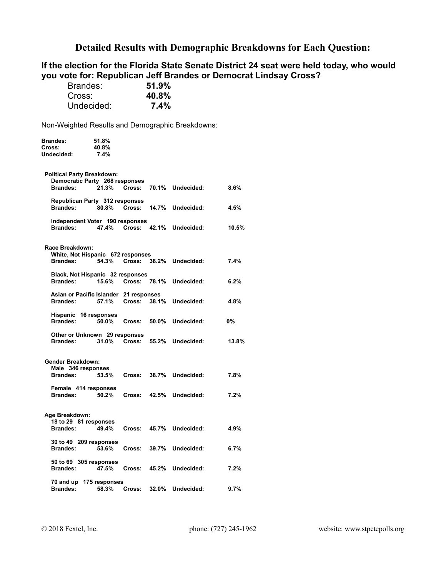## **Detailed Results with Demographic Breakdowns for Each Question:**

## **If the election for the Florida State Senate District 24 seat were held today, who would you vote for: Republican Jeff Brandes or Democrat Lindsay Cross?**

| Brandes:   | 51.9% |
|------------|-------|
| Cross:     | 40.8% |
| Undecided: | 7.4%  |

| Brandes:<br>Cross:<br>Undecided:               | 51.8%<br>40.8%<br>7.4%                          |                    |              |                               |       |
|------------------------------------------------|-------------------------------------------------|--------------------|--------------|-------------------------------|-------|
| <b>Political Party Breakdown:</b>              |                                                 |                    |              |                               |       |
| <b>Brandes:</b>                                | Democratic Party 268 responses<br>21.3%         |                    |              | Cross: 70.1% Undecided:       | 8.6%  |
| <b>Brandes:</b>                                | Republican Party 312 responses                  |                    |              | 80.8% Cross: 14.7% Undecided: | 4.5%  |
| <b>Brandes:</b>                                | Independent Voter 190 responses                 |                    |              | 47.4% Cross: 42.1% Undecided: | 10.5% |
| Race Breakdown:                                | White, Not Hispanic 672 responses               |                    |              |                               |       |
| <b>Brandes:</b>                                | 54.3%                                           | Cross: 38.2%       |              | Undecided:                    | 7.4%  |
| <b>Brandes:</b>                                | Black, Not Hispanic 32 responses<br>15.6%       | Cross: 78.1%       |              | Undecided:                    | 6.2%  |
| <b>Brandes:</b>                                | Asian or Pacific Islander 21 responses<br>57.1% |                    | Cross: 38.1% | Undecided:                    | 4.8%  |
| <b>Brandes:</b>                                | Hispanic 16 responses                           | 50.0% Cross: 50.0% |              | Undecided:                    | 0%    |
| <b>Brandes:</b>                                | Other or Unknown 29 responses<br>31.0%          |                    |              | Cross: 55.2% Undecided:       | 13.8% |
| <b>Gender Breakdown:</b><br>Male 346 responses |                                                 |                    |              |                               |       |
| <b>Brandes:</b>                                | 53.5%                                           | Cross:             |              | 38.7% Undecided:              | 7.8%  |
| <b>Brandes:</b>                                | Female 414 responses<br>50.2%                   | Cross:             | 42.5%        | Undecided:                    | 7.2%  |
| Age Breakdown:                                 |                                                 |                    |              |                               |       |
| <b>Brandes:</b>                                | 18 to 29 81 responses<br>49.4%                  |                    | Cross: 45.7% | Undecided:                    | 4.9%  |
| <b>Brandes:</b>                                | 30 to 49 209 responses<br>53.6%                 |                    | Cross: 39.7% | Undecided:                    | 6.7%  |
| <b>Brandes:</b>                                | 50 to 69 305 responses<br>47.5%                 | Cross:             | 45.2%        | Undecided:                    | 7.2%  |
| <b>Brandes:</b>                                | 70 and up 175 responses<br>58.3%                | Cross:             | 32.0%        | Undecided:                    | 9.7%  |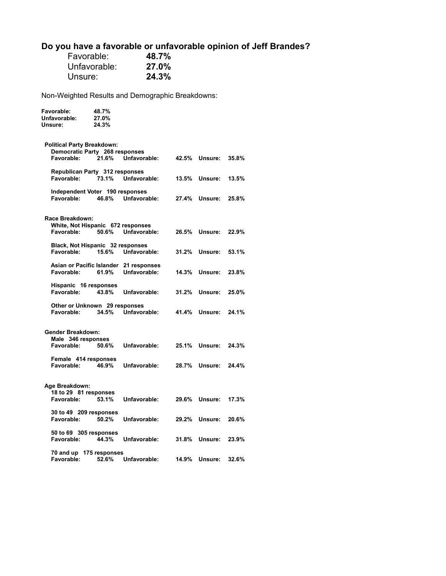# **Do you have a favorable or unfavorable opinion of Jeff Brandes?**

| Favorable:   | 48.7% |
|--------------|-------|
| Unfavorable: | 27.0% |
| Unsure:      | 24.3% |

**Favorable: 48.7%** 

| Unfavorable:<br>Unsure:                     | 27.0%<br>24.3% |                                                        |       |         |       |
|---------------------------------------------|----------------|--------------------------------------------------------|-------|---------|-------|
| Political Party Breakdown:                  |                |                                                        |       |         |       |
| Democratic Party 268 responses              |                |                                                        |       |         |       |
| Favorable:                                  | 21.6%          | Unfavorable:                                           | 42.5% | Unsure: | 35.8% |
| Republican Party 312 responses              |                |                                                        |       |         |       |
| Favorable:                                  | 73.1%          | Unfavorable:                                           | 13.5% | Unsure: | 13.5% |
| Independent Voter 190 responses             |                |                                                        |       |         |       |
| Favorable:                                  | 46.8%          | Unfavorable:                                           | 27.4% | Unsure: | 25.8% |
| Race Breakdown:                             |                |                                                        |       |         |       |
| White, Not Hispanic 672 responses           |                |                                                        |       |         |       |
| Favorable:                                  | 50.6%          | Unfavorable:                                           | 26.5% | Unsure: | 22.9% |
| Black, Not Hispanic 32 responses            |                |                                                        |       |         |       |
| Favorable:                                  | 15.6%          | Unfavorable:                                           | 31.2% | Unsure: | 53.1% |
|                                             |                |                                                        |       |         |       |
| Favorable:                                  | 61.9%          | Asian or Pacific Islander 21 responses<br>Unfavorable: | 14.3% | Unsure: | 23.8% |
|                                             |                |                                                        |       |         |       |
| Hispanic 16 responses<br>Favorable:         | 43.8%          | Unfavorable:                                           | 31.2% | Unsure: | 25.0% |
|                                             |                |                                                        |       |         |       |
| Other or Unknown 29 responses<br>Favorable: | 34.5%          | Unfavorable:                                           | 41.4% | Unsure: | 24.1% |
|                                             |                |                                                        |       |         |       |
| Gender Breakdown:                           |                |                                                        |       |         |       |
| Male 346 responses                          |                |                                                        |       |         |       |
| Favorable:                                  | 50.6%          | Unfavorable:                                           | 25.1% | Unsure: | 24.3% |
| Female 414 responses                        |                |                                                        |       |         |       |
| Favorable:                                  | 46.9%          | Unfavorable:                                           | 28.7% | Unsure: | 24.4% |
|                                             |                |                                                        |       |         |       |
| Age Breakdown:                              |                |                                                        |       |         |       |
| 18 to 29 81 responses                       |                |                                                        |       |         |       |
| Favorable:                                  | 53.1%          | Unfavorable:                                           | 29.6% | Unsure: | 17.3% |
| 30 to 49 209 responses                      |                |                                                        |       |         |       |
| Favorable:                                  | 50.2%          | Unfavorable:                                           | 29.2% | Unsure: | 20.6% |
| 50 to 69 305 responses                      |                |                                                        |       |         |       |
| Favorable:                                  | 44.3%          | Unfavorable:                                           | 31.8% | Unsure: | 23.9% |
| 70 and up 175 responses                     |                |                                                        |       |         |       |
| Favorable:                                  | 52.6%          | Unfavorable:                                           | 14.9% | Unsure: | 32.6% |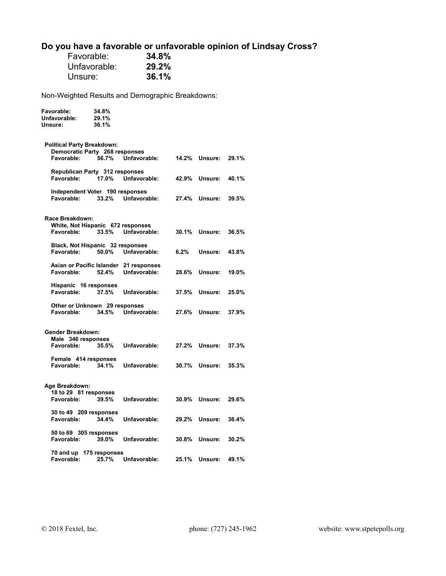# **Do you have a favorable or unfavorable opinion of Lindsay Cross?**

| Favorable:   | 34.8% |
|--------------|-------|
| Unfavorable: | 29.2% |
| Unsure:      | 36.1% |

| Favorable:<br>Unfavorable:<br>Unsure:                | 34.8%<br>29.1%<br>36.1% |              |       |         |       |
|------------------------------------------------------|-------------------------|--------------|-------|---------|-------|
| <b>Political Party Breakdown:</b>                    |                         |              |       |         |       |
| Democratic Party 268 responses<br>Favorable:         | 56.7%                   | Unfavorable: | 14.2% | Unsure: | 29.1% |
| Republican Party 312 responses<br>Favorable:         | 17.0%                   | Unfavorable: | 42.9% | Unsure: | 40.1% |
| Independent Voter 190 responses                      |                         |              |       |         |       |
| Favorable:                                           | 33.2%                   | Unfavorable: | 27.4% | Unsure: | 39.5% |
| Race Breakdown:                                      |                         |              |       |         |       |
| White, Not Hispanic 672 responses<br>Favorable:      | 33.5%                   | Unfavorable: | 30.1% | Unsure: | 36.5% |
| Black, Not Hispanic 32 responses<br>Favorable:       | 50.0%                   | Unfavorable: | 6.2%  | Unsure: | 43.8% |
| Asian or Pacific Islander 21 responses<br>Favorable: | 52.4%                   | Unfavorable: | 28.6% | Unsure: | 19.0% |
| Hispanic 16 responses<br>Favorable:                  | 37.5%                   | Unfavorable: | 37.5% | Unsure: | 25.0% |
| Other or Unknown 29 responses<br>Favorable:          | 34.5%                   | Unfavorable: | 27.6% | Unsure: | 37.9% |
| Gender Breakdown:                                    |                         |              |       |         |       |
| Male 346 responses<br>Favorable:                     | 35.5%                   | Unfavorable: | 27.2% | Unsure: | 37.3% |
| Female 414 responses<br>Favorable:                   | 34.1%                   | Unfavorable: | 30.7% | Unsure: | 35.3% |
|                                                      |                         |              |       |         |       |
| Age Breakdown:<br>18 to 29 81 responses              |                         |              |       |         |       |
| Favorable:                                           | 39.5%                   | Unfavorable: | 30.9% | Unsure: | 29.6% |
| 30 to 49 209 responses<br>Favorable:                 | 34.4%                   | Unfavorable: | 29.2% | Unsure: | 36.4% |
| 50 to 69 305 responses<br>Favorable:                 | 39.0%                   | Unfavorable: | 30.8% | Unsure: | 30.2% |
| 70 and up 175 responses<br>Favorable:                | 25.7%                   | Unfavorable: | 25.1% | Unsure: | 49.1% |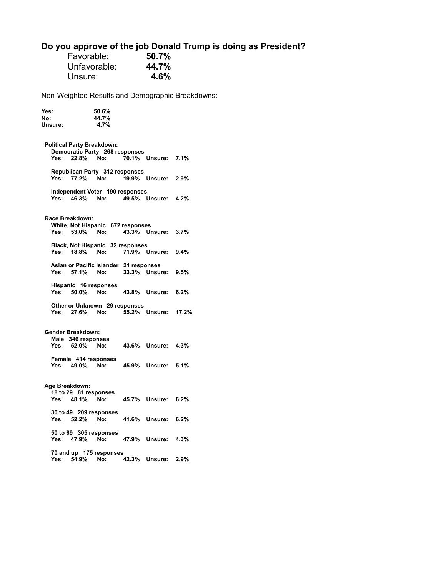# **Do you approve of the job Donald Trump is doing as President?**

| Favorable:   | 50.7% |
|--------------|-------|
| Unfavorable: | 44.7% |
| Unsure:      | 4.6%  |

| Yes:<br>No:<br>Unsure: | 50.6%<br>44.7%<br>4.7%                                                     |       |                    |       |  |  |
|------------------------|----------------------------------------------------------------------------|-------|--------------------|-------|--|--|
| Yes: 22.8%             | <b>Political Party Breakdown:</b><br>Democratic Party 268 responses<br>No: |       | 70.1% Unsure:      | 7.1%  |  |  |
| Yes: 77.2%             | Republican Party 312 responses<br>No:                                      |       | 19.9% Unsure: 2.9% |       |  |  |
|                        | Independent Voter 190 responses<br>Yes: 46.3% No:                          |       | 49.5% Unsure: 4.2% |       |  |  |
| Race Breakdown:        | White, Not Hispanic 672 responses                                          |       |                    |       |  |  |
|                        | Yes: 53.0% No:                                                             |       | 43.3% Unsure:      | 3.7%  |  |  |
|                        | Black, Not Hispanic 32 responses<br>Yes: 18.8% No:                         |       | 71.9% Unsure: 9.4% |       |  |  |
|                        | Asian or Pacific Islander 21 responses<br>Yes: 57.1% No:                   |       | 33.3% Unsure: 9.5% |       |  |  |
| Yes: 50.0%             | Hispanic 16 responses<br>No:                                               |       | 43.8% Unsure: 6.2% |       |  |  |
|                        | Other or Unknown 29 responses<br>Yes: 27.6% No:                            |       | 55.2% Unsure:      | 17.2% |  |  |
| Gender Breakdown:      |                                                                            |       |                    |       |  |  |
|                        | Male 346 responses<br>Yes: 52.0% No:                                       |       | 43.6% Unsure: 4.3% |       |  |  |
|                        | Female 414 responses<br>Yes: 49.0% No:                                     |       | 45.9% Unsure:      | 5.1%  |  |  |
| Age Breakdown:         |                                                                            |       |                    |       |  |  |
| Yes: 48.1%             | 18 to 29 81 responses<br>No:                                               |       | 45.7% Unsure:      | 6.2%  |  |  |
|                        |                                                                            |       |                    |       |  |  |
| Yes: 52.2%             | 30 to 49 209 responses<br>No:                                              | 41.6% | Unsure:            | 6.2%  |  |  |
| Yes:                   | 50 to 69 305 responses<br>47.9%<br>No:                                     |       | 47.9% Unsure:      | 4.3%  |  |  |
| Yes: 54.9%             | 70 and up 175 responses<br>No:                                             |       | 42.3% Unsure: 2.9% |       |  |  |